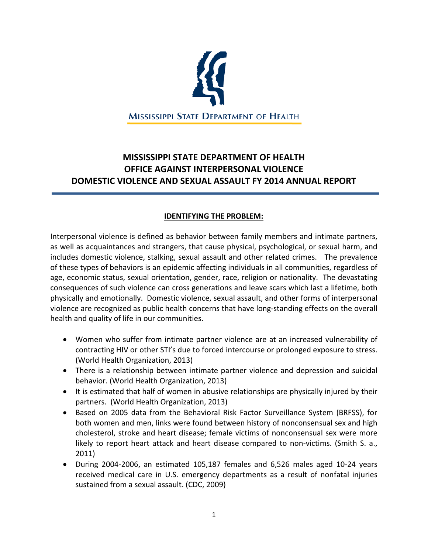

# **MISSISSIPPI STATE DEPARTMENT OF HEALTH OFFICE AGAINST INTERPERSONAL VIOLENCE DOMESTIC VIOLENCE AND SEXUAL ASSAULT FY 2014 ANNUAL REPORT**

# **IDENTIFYING THE PROBLEM:**

Interpersonal violence is defined as behavior between family members and intimate partners, as well as acquaintances and strangers, that cause physical, psychological, or sexual harm, and includes domestic violence, stalking, sexual assault and other related crimes. The prevalence of these types of behaviors is an epidemic affecting individuals in all communities, regardless of age, economic status, sexual orientation, gender, race, religion or nationality. The devastating consequences of such violence can cross generations and leave scars which last a lifetime, both physically and emotionally. Domestic violence, sexual assault, and other forms of interpersonal violence are recognized as public health concerns that have long-standing effects on the overall health and quality of life in our communities.

- Women who suffer from intimate partner violence are at an increased vulnerability of contracting HIV or other STI's due to forced intercourse or prolonged exposure to stress. (World Health Organization, 2013)
- There is a relationship between intimate partner violence and depression and suicidal behavior. (World Health Organization, 2013)
- It is estimated that half of women in abusive relationships are physically injured by their partners. (World Health Organization, 2013)
- Based on 2005 data from the Behavioral Risk Factor Surveillance System (BRFSS), for both women and men, links were found between history of nonconsensual sex and high cholesterol, stroke and heart disease; female victims of nonconsensual sex were more likely to report heart attack and heart disease compared to non-victims. (Smith S. a., 2011)
- During 2004-2006, an estimated 105,187 females and 6,526 males aged 10-24 years received medical care in U.S. emergency departments as a result of nonfatal injuries sustained from a sexual assault. (CDC, 2009)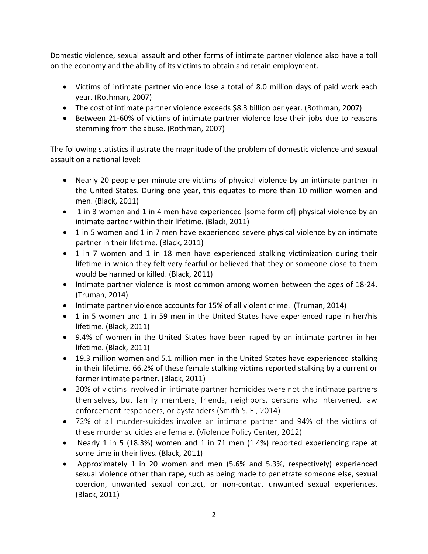Domestic violence, sexual assault and other forms of intimate partner violence also have a toll on the economy and the ability of its victims to obtain and retain employment.

- Victims of intimate partner violence lose a total of 8.0 million days of paid work each year. (Rothman, 2007)
- The cost of intimate partner violence exceeds \$8.3 billion per year. (Rothman, 2007)
- Between 21-60% of victims of intimate partner violence lose their jobs due to reasons stemming from the abuse. (Rothman, 2007)

The following statistics illustrate the magnitude of the problem of domestic violence and sexual assault on a national level:

- Nearly 20 people per minute are victims of physical violence by an intimate partner in the United States. During one year, this equates to more than 10 million women and men. (Black, 2011)
- 1 in 3 women and 1 in 4 men have experienced [some form of] physical violence by an intimate partner within their lifetime. (Black, 2011)
- 1 in 5 women and 1 in 7 men have experienced severe physical violence by an intimate partner in their lifetime. (Black, 2011)
- 1 in 7 women and 1 in 18 men have experienced stalking victimization during their lifetime in which they felt very fearful or believed that they or someone close to them would be harmed or killed. (Black, 2011)
- Intimate partner violence is most common among women between the ages of 18-24. (Truman, 2014)
- Intimate partner violence accounts for 15% of all violent crime. (Truman, 2014)
- 1 in 5 women and 1 in 59 men in the United States have experienced rape in her/his lifetime. (Black, 2011)
- 9.4% of women in the United States have been raped by an intimate partner in her lifetime. (Black, 2011)
- 19.3 million women and 5.1 million men in the United States have experienced stalking in their lifetime. 66.2% of these female stalking victims reported stalking by a current or former intimate partner. (Black, 2011)
- 20% of victims involved in intimate partner homicides were not the intimate partners themselves, but family members, friends, neighbors, persons who intervened, law enforcement responders, or bystanders (Smith S. F., 2014)
- 72% of all murder-suicides involve an intimate partner and 94% of the victims of these murder suicides are female. (Violence Policy Center, 2012)
- Nearly 1 in 5 (18.3%) women and 1 in 71 men (1.4%) reported experiencing rape at some time in their lives. (Black, 2011)
- Approximately 1 in 20 women and men (5.6% and 5.3%, respectively) experienced sexual violence other than rape, such as being made to penetrate someone else, sexual coercion, unwanted sexual contact, or non-contact unwanted sexual experiences. (Black, 2011)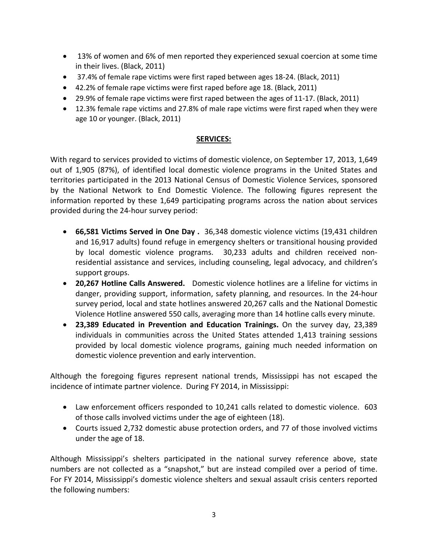- 13% of women and 6% of men reported they experienced sexual coercion at some time in their lives. (Black, 2011)
- 37.4% of female rape victims were first raped between ages 18-24. (Black, 2011)
- 42.2% of female rape victims were first raped before age 18. (Black, 2011)
- 29.9% of female rape victims were first raped between the ages of 11-17. (Black, 2011)
- 12.3% female rape victims and 27.8% of male rape victims were first raped when they were age 10 or younger. (Black, 2011)

# **SERVICES:**

With regard to services provided to victims of domestic violence, on September 17, 2013, 1,649 out of 1,905 (87%), of identified local domestic violence programs in the United States and territories participated in the 2013 National Census of Domestic Violence Services, sponsored by the National Network to End Domestic Violence. The following figures represent the information reported by these 1,649 participating programs across the nation about services provided during the 24-hour survey period:

- **66,581 Victims Served in One Day .** 36,348 domestic violence victims (19,431 children and 16,917 adults) found refuge in emergency shelters or transitional housing provided by local domestic violence programs. 30,233 adults and children received nonresidential assistance and services, including counseling, legal advocacy, and children's support groups.
- **20,267 Hotline Calls Answered.** Domestic violence hotlines are a lifeline for victims in danger, providing support, information, safety planning, and resources. In the 24-hour survey period, local and state hotlines answered 20,267 calls and the National Domestic Violence Hotline answered 550 calls, averaging more than 14 hotline calls every minute.
- **23,389 Educated in Prevention and Education Trainings.** On the survey day, 23,389 individuals in communities across the United States attended 1,413 training sessions provided by local domestic violence programs, gaining much needed information on domestic violence prevention and early intervention.

Although the foregoing figures represent national trends, Mississippi has not escaped the incidence of intimate partner violence. During FY 2014, in Mississippi:

- Law enforcement officers responded to 10,241 calls related to domestic violence. 603 of those calls involved victims under the age of eighteen (18).
- Courts issued 2,732 domestic abuse protection orders, and 77 of those involved victims under the age of 18.

Although Mississippi's shelters participated in the national survey reference above, state numbers are not collected as a "snapshot," but are instead compiled over a period of time. For FY 2014, Mississippi's domestic violence shelters and sexual assault crisis centers reported the following numbers: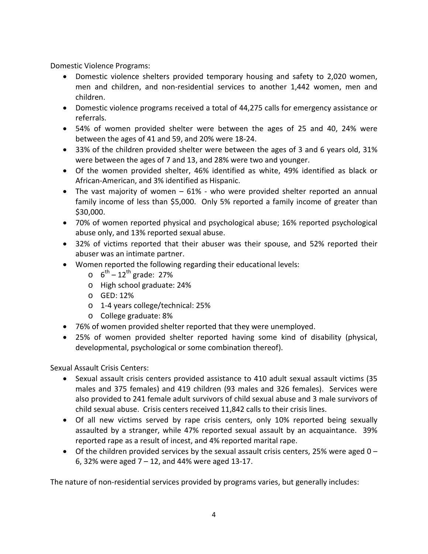Domestic Violence Programs:

- Domestic violence shelters provided temporary housing and safety to 2,020 women, men and children, and non-residential services to another 1,442 women, men and children.
- Domestic violence programs received a total of 44,275 calls for emergency assistance or referrals.
- 54% of women provided shelter were between the ages of 25 and 40, 24% were between the ages of 41 and 59, and 20% were 18-24.
- 33% of the children provided shelter were between the ages of 3 and 6 years old, 31% were between the ages of 7 and 13, and 28% were two and younger.
- Of the women provided shelter, 46% identified as white, 49% identified as black or African-American, and 3% identified as Hispanic.
- The vast majority of women 61% who were provided shelter reported an annual family income of less than \$5,000. Only 5% reported a family income of greater than \$30,000.
- 70% of women reported physical and psychological abuse; 16% reported psychological abuse only, and 13% reported sexual abuse.
- 32% of victims reported that their abuser was their spouse, and 52% reported their abuser was an intimate partner.
- Women reported the following regarding their educational levels:
	- $\circ$  6<sup>th</sup> 12<sup>th</sup> grade: 27%
	- o High school graduate: 24%
	- o GED: 12%
	- o 1-4 years college/technical: 25%
	- o College graduate: 8%
- 76% of women provided shelter reported that they were unemployed.
- 25% of women provided shelter reported having some kind of disability (physical, developmental, psychological or some combination thereof).

Sexual Assault Crisis Centers:

- Sexual assault crisis centers provided assistance to 410 adult sexual assault victims (35 males and 375 females) and 419 children (93 males and 326 females). Services were also provided to 241 female adult survivors of child sexual abuse and 3 male survivors of child sexual abuse. Crisis centers received 11,842 calls to their crisis lines.
- Of all new victims served by rape crisis centers, only 10% reported being sexually assaulted by a stranger, while 47% reported sexual assault by an acquaintance. 39% reported rape as a result of incest, and 4% reported marital rape.
- Of the children provided services by the sexual assault crisis centers, 25% were aged  $0 -$ 6, 32% were aged 7 – 12, and 44% were aged 13-17.

The nature of non-residential services provided by programs varies, but generally includes: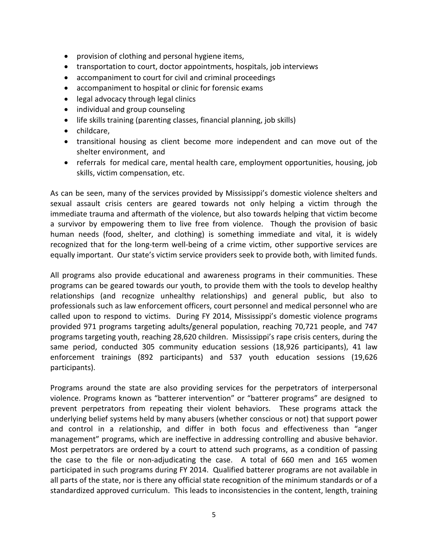- provision of clothing and personal hygiene items,
- transportation to court, doctor appointments, hospitals, job interviews
- accompaniment to court for civil and criminal proceedings
- accompaniment to hospital or clinic for forensic exams
- legal advocacy through legal clinics
- individual and group counseling
- life skills training (parenting classes, financial planning, job skills)
- childcare,
- transitional housing as client become more independent and can move out of the shelter environment, and
- referrals for medical care, mental health care, employment opportunities, housing, job skills, victim compensation, etc.

As can be seen, many of the services provided by Mississippi's domestic violence shelters and sexual assault crisis centers are geared towards not only helping a victim through the immediate trauma and aftermath of the violence, but also towards helping that victim become a survivor by empowering them to live free from violence. Though the provision of basic human needs (food, shelter, and clothing) is something immediate and vital, it is widely recognized that for the long-term well-being of a crime victim, other supportive services are equally important. Our state's victim service providers seek to provide both, with limited funds.

All programs also provide educational and awareness programs in their communities. These programs can be geared towards our youth, to provide them with the tools to develop healthy relationships (and recognize unhealthy relationships) and general public, but also to professionals such as law enforcement officers, court personnel and medical personnel who are called upon to respond to victims. During FY 2014, Mississippi's domestic violence programs provided 971 programs targeting adults/general population, reaching 70,721 people, and 747 programs targeting youth, reaching 28,620 children. Mississippi's rape crisis centers, during the same period, conducted 305 community education sessions (18,926 participants), 41 law enforcement trainings (892 participants) and 537 youth education sessions (19,626 participants).

Programs around the state are also providing services for the perpetrators of interpersonal violence. Programs known as "batterer intervention" or "batterer programs" are designed to prevent perpetrators from repeating their violent behaviors. These programs attack the underlying belief systems held by many abusers (whether conscious or not) that support power and control in a relationship, and differ in both focus and effectiveness than "anger management" programs, which are ineffective in addressing controlling and abusive behavior. Most perpetrators are ordered by a court to attend such programs, as a condition of passing the case to the file or non-adjudicating the case. A total of 660 men and 165 women participated in such programs during FY 2014. Qualified batterer programs are not available in all parts of the state, nor is there any official state recognition of the minimum standards or of a standardized approved curriculum. This leads to inconsistencies in the content, length, training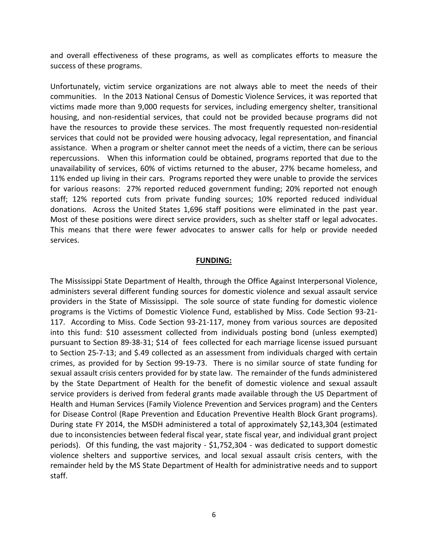and overall effectiveness of these programs, as well as complicates efforts to measure the success of these programs.

Unfortunately, victim service organizations are not always able to meet the needs of their communities. In the 2013 National Census of Domestic Violence Services, it was reported that victims made more than 9,000 requests for services, including emergency shelter, transitional housing, and non-residential services, that could not be provided because programs did not have the resources to provide these services. The most frequently requested non-residential services that could not be provided were housing advocacy, legal representation, and financial assistance. When a program or shelter cannot meet the needs of a victim, there can be serious repercussions. When this information could be obtained, programs reported that due to the unavailability of services, 60% of victims returned to the abuser, 27% became homeless, and 11% ended up living in their cars. Programs reported they were unable to provide the services for various reasons: 27% reported reduced government funding; 20% reported not enough staff; 12% reported cuts from private funding sources; 10% reported reduced individual donations. Across the United States 1,696 staff positions were eliminated in the past year. Most of these positions were direct service providers, such as shelter staff or legal advocates. This means that there were fewer advocates to answer calls for help or provide needed services.

### **FUNDING:**

The Mississippi State Department of Health, through the Office Against Interpersonal Violence, administers several different funding sources for domestic violence and sexual assault service providers in the State of Mississippi. The sole source of state funding for domestic violence programs is the Victims of Domestic Violence Fund, established by Miss. Code Section 93-21- 117. According to Miss. Code Section 93-21-117, money from various sources are deposited into this fund: \$10 assessment collected from individuals posting bond (unless exempted) pursuant to Section 89-38-31; \$14 of fees collected for each marriage license issued pursuant to Section 25-7-13; and \$.49 collected as an assessment from individuals charged with certain crimes, as provided for by Section 99-19-73. There is no similar source of state funding for sexual assault crisis centers provided for by state law. The remainder of the funds administered by the State Department of Health for the benefit of domestic violence and sexual assault service providers is derived from federal grants made available through the US Department of Health and Human Services (Family Violence Prevention and Services program) and the Centers for Disease Control (Rape Prevention and Education Preventive Health Block Grant programs). During state FY 2014, the MSDH administered a total of approximately \$2,143,304 (estimated due to inconsistencies between federal fiscal year, state fiscal year, and individual grant project periods). Of this funding, the vast majority - \$1,752,304 - was dedicated to support domestic violence shelters and supportive services, and local sexual assault crisis centers, with the remainder held by the MS State Department of Health for administrative needs and to support staff.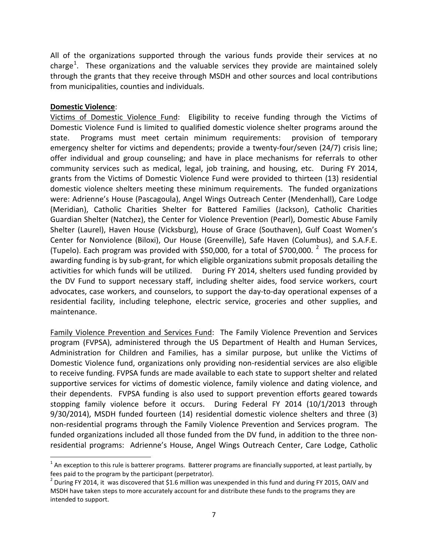All of the organizations supported through the various funds provide their services at no charge<sup>[1](#page-6-0)</sup>. These organizations and the valuable services they provide are maintained solely through the grants that they receive through MSDH and other sources and local contributions from municipalities, counties and individuals.

## **Domestic Violence**:

 $\overline{\phantom{a}}$ 

Victims of Domestic Violence Fund: Eligibility to receive funding through the Victims of Domestic Violence Fund is limited to qualified domestic violence shelter programs around the state. Programs must meet certain minimum requirements: provision of temporary emergency shelter for victims and dependents; provide a twenty-four/seven (24/7) crisis line; offer individual and group counseling; and have in place mechanisms for referrals to other community services such as medical, legal, job training, and housing, etc. During FY 2014, grants from the Victims of Domestic Violence Fund were provided to thirteen (13) residential domestic violence shelters meeting these minimum requirements. The funded organizations were: Adrienne's House (Pascagoula), Angel Wings Outreach Center (Mendenhall), Care Lodge (Meridian), Catholic Charities Shelter for Battered Families (Jackson), Catholic Charities Guardian Shelter (Natchez), the Center for Violence Prevention (Pearl), Domestic Abuse Family Shelter (Laurel), Haven House (Vicksburg), House of Grace (Southaven), Gulf Coast Women's Center for Nonviolence (Biloxi), Our House (Greenville), Safe Haven (Columbus), and S.A.F.E. (Tupelo). Each program was provided with \$50,000, for a total of \$700,000.  $^2$  $^2$  The process for awarding funding is by sub-grant, for which eligible organizations submit proposals detailing the activities for which funds will be utilized. During FY 2014, shelters used funding provided by the DV Fund to support necessary staff, including shelter aides, food service workers, court advocates, case workers, and counselors, to support the day-to-day operational expenses of a residential facility, including telephone, electric service, groceries and other supplies, and maintenance.

Family Violence Prevention and Services Fund: The Family Violence Prevention and Services program (FVPSA), administered through the US Department of Health and Human Services, Administration for Children and Families, has a similar purpose, but unlike the Victims of Domestic Violence fund, organizations only providing non-residential services are also eligible to receive funding. FVPSA funds are made available to each state to support shelter and related supportive services for victims of domestic violence, family violence and dating violence, and their dependents. FVPSA funding is also used to support prevention efforts geared towards stopping family violence before it occurs. During Federal FY 2014 (10/1/2013 through 9/30/2014), MSDH funded fourteen (14) residential domestic violence shelters and three (3) non-residential programs through the Family Violence Prevention and Services program. The funded organizations included all those funded from the DV fund, in addition to the three nonresidential programs: Adrienne's House, Angel Wings Outreach Center, Care Lodge, Catholic

<span id="page-6-0"></span> $1$  An exception to this rule is batterer programs. Batterer programs are financially supported, at least partially, by fees paid to the program by the participant (perpetrator).

<span id="page-6-1"></span><sup>&</sup>lt;sup>2</sup> During FY 2014, it was discovered that \$1.6 million was unexpended in this fund and during FY 2015, OAIV and MSDH have taken steps to more accurately account for and distribute these funds to the programs they are intended to support.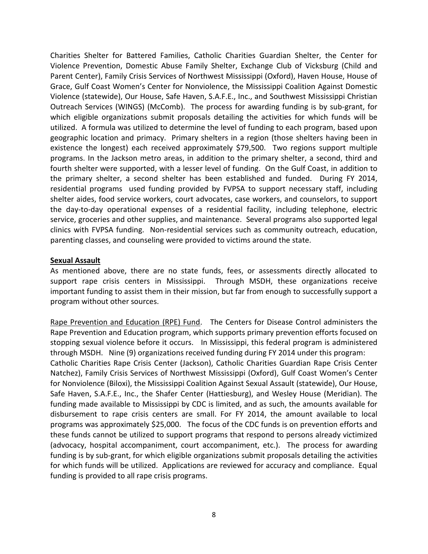Charities Shelter for Battered Families, Catholic Charities Guardian Shelter, the Center for Violence Prevention, Domestic Abuse Family Shelter, Exchange Club of Vicksburg (Child and Parent Center), Family Crisis Services of Northwest Mississippi (Oxford), Haven House, House of Grace, Gulf Coast Women's Center for Nonviolence, the Mississippi Coalition Against Domestic Violence (statewide), Our House, Safe Haven, S.A.F.E., Inc., and Southwest Mississippi Christian Outreach Services (WINGS) (McComb). The process for awarding funding is by sub-grant, for which eligible organizations submit proposals detailing the activities for which funds will be utilized. A formula was utilized to determine the level of funding to each program, based upon geographic location and primacy. Primary shelters in a region (those shelters having been in existence the longest) each received approximately \$79,500. Two regions support multiple programs. In the Jackson metro areas, in addition to the primary shelter, a second, third and fourth shelter were supported, with a lesser level of funding. On the Gulf Coast, in addition to the primary shelter, a second shelter has been established and funded. During FY 2014, residential programs used funding provided by FVPSA to support necessary staff, including shelter aides, food service workers, court advocates, case workers, and counselors, to support the day-to-day operational expenses of a residential facility, including telephone, electric service, groceries and other supplies, and maintenance. Several programs also supported legal clinics with FVPSA funding. Non-residential services such as community outreach, education, parenting classes, and counseling were provided to victims around the state.

### **Sexual Assault**

As mentioned above, there are no state funds, fees, or assessments directly allocated to support rape crisis centers in Mississippi. Through MSDH, these organizations receive important funding to assist them in their mission, but far from enough to successfully support a program without other sources.

Rape Prevention and Education (RPE) Fund. The Centers for Disease Control administers the Rape Prevention and Education program, which supports primary prevention efforts focused on stopping sexual violence before it occurs. In Mississippi, this federal program is administered through MSDH. Nine (9) organizations received funding during FY 2014 under this program: Catholic Charities Rape Crisis Center (Jackson), Catholic Charities Guardian Rape Crisis Center Natchez), Family Crisis Services of Northwest Mississippi (Oxford), Gulf Coast Women's Center for Nonviolence (Biloxi), the Mississippi Coalition Against Sexual Assault (statewide), Our House, Safe Haven, S.A.F.E., Inc., the Shafer Center (Hattiesburg), and Wesley House (Meridian). The funding made available to Mississippi by CDC is limited, and as such, the amounts available for disbursement to rape crisis centers are small. For FY 2014, the amount available to local programs was approximately \$25,000. The focus of the CDC funds is on prevention efforts and these funds cannot be utilized to support programs that respond to persons already victimized (advocacy, hospital accompaniment, court accompaniment, etc.). The process for awarding funding is by sub-grant, for which eligible organizations submit proposals detailing the activities for which funds will be utilized. Applications are reviewed for accuracy and compliance. Equal funding is provided to all rape crisis programs.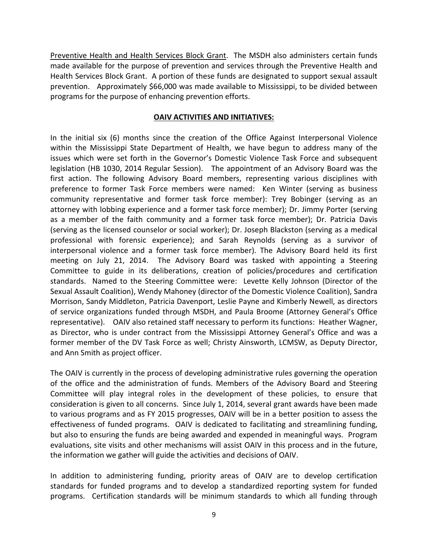Preventive Health and Health Services Block Grant. The MSDH also administers certain funds made available for the purpose of prevention and services through the Preventive Health and Health Services Block Grant. A portion of these funds are designated to support sexual assault prevention. Approximately \$66,000 was made available to Mississippi, to be divided between programs for the purpose of enhancing prevention efforts.

# **OAIV ACTIVITIES AND INITIATIVES:**

In the initial six (6) months since the creation of the Office Against Interpersonal Violence within the Mississippi State Department of Health, we have begun to address many of the issues which were set forth in the Governor's Domestic Violence Task Force and subsequent legislation (HB 1030, 2014 Regular Session). The appointment of an Advisory Board was the first action. The following Advisory Board members, representing various disciplines with preference to former Task Force members were named: Ken Winter (serving as business community representative and former task force member): Trey Bobinger (serving as an attorney with lobbing experience and a former task force member); Dr. Jimmy Porter (serving as a member of the faith community and a former task force member); Dr. Patricia Davis (serving as the licensed counselor or social worker); Dr. Joseph Blackston (serving as a medical professional with forensic experience); and Sarah Reynolds (serving as a survivor of interpersonal violence and a former task force member). The Advisory Board held its first meeting on July 21, 2014. The Advisory Board was tasked with appointing a Steering Committee to guide in its deliberations, creation of policies/procedures and certification standards. Named to the Steering Committee were: Levette Kelly Johnson (Director of the Sexual Assault Coalition), Wendy Mahoney (director of the Domestic Violence Coalition), Sandra Morrison, Sandy Middleton, Patricia Davenport, Leslie Payne and Kimberly Newell, as directors of service organizations funded through MSDH, and Paula Broome (Attorney General's Office representative). OAIV also retained staff necessary to perform its functions: Heather Wagner, as Director, who is under contract from the Mississippi Attorney General's Office and was a former member of the DV Task Force as well; Christy Ainsworth, LCMSW, as Deputy Director, and Ann Smith as project officer.

The OAIV is currently in the process of developing administrative rules governing the operation of the office and the administration of funds. Members of the Advisory Board and Steering Committee will play integral roles in the development of these policies, to ensure that consideration is given to all concerns. Since July 1, 2014, several grant awards have been made to various programs and as FY 2015 progresses, OAIV will be in a better position to assess the effectiveness of funded programs. OAIV is dedicated to facilitating and streamlining funding, but also to ensuring the funds are being awarded and expended in meaningful ways. Program evaluations, site visits and other mechanisms will assist OAIV in this process and in the future, the information we gather will guide the activities and decisions of OAIV.

In addition to administering funding, priority areas of OAIV are to develop certification standards for funded programs and to develop a standardized reporting system for funded programs. Certification standards will be minimum standards to which all funding through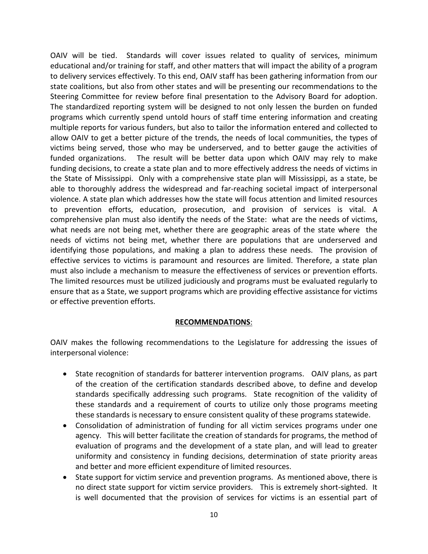OAIV will be tied. Standards will cover issues related to quality of services, minimum educational and/or training for staff, and other matters that will impact the ability of a program to delivery services effectively. To this end, OAIV staff has been gathering information from our state coalitions, but also from other states and will be presenting our recommendations to the Steering Committee for review before final presentation to the Advisory Board for adoption. The standardized reporting system will be designed to not only lessen the burden on funded programs which currently spend untold hours of staff time entering information and creating multiple reports for various funders, but also to tailor the information entered and collected to allow OAIV to get a better picture of the trends, the needs of local communities, the types of victims being served, those who may be underserved, and to better gauge the activities of funded organizations. The result will be better data upon which OAIV may rely to make funding decisions, to create a state plan and to more effectively address the needs of victims in the State of Mississippi. Only with a comprehensive state plan will Mississippi, as a state, be able to thoroughly address the widespread and far-reaching societal impact of interpersonal violence. A state plan which addresses how the state will focus attention and limited resources to prevention efforts, education, prosecution, and provision of services is vital. A comprehensive plan must also identify the needs of the State: what are the needs of victims, what needs are not being met, whether there are geographic areas of the state where the needs of victims not being met, whether there are populations that are underserved and identifying those populations, and making a plan to address these needs. The provision of effective services to victims is paramount and resources are limited. Therefore, a state plan must also include a mechanism to measure the effectiveness of services or prevention efforts. The limited resources must be utilized judiciously and programs must be evaluated regularly to ensure that as a State, we support programs which are providing effective assistance for victims or effective prevention efforts.

### **RECOMMENDATIONS**:

OAIV makes the following recommendations to the Legislature for addressing the issues of interpersonal violence:

- State recognition of standards for batterer intervention programs. OAIV plans, as part of the creation of the certification standards described above, to define and develop standards specifically addressing such programs. State recognition of the validity of these standards and a requirement of courts to utilize only those programs meeting these standards is necessary to ensure consistent quality of these programs statewide.
- Consolidation of administration of funding for all victim services programs under one agency. This will better facilitate the creation of standards for programs, the method of evaluation of programs and the development of a state plan, and will lead to greater uniformity and consistency in funding decisions, determination of state priority areas and better and more efficient expenditure of limited resources.
- State support for victim service and prevention programs. As mentioned above, there is no direct state support for victim service providers. This is extremely short-sighted. It is well documented that the provision of services for victims is an essential part of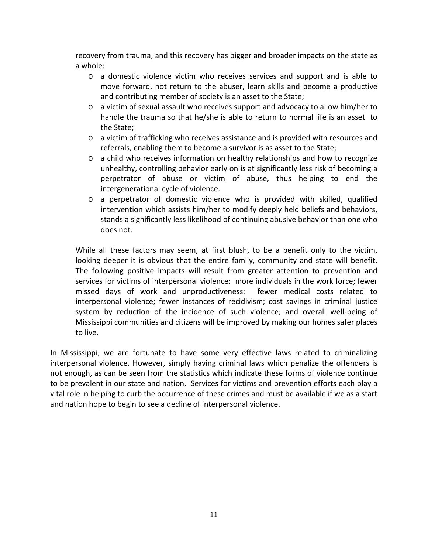recovery from trauma, and this recovery has bigger and broader impacts on the state as a whole:

- o a domestic violence victim who receives services and support and is able to move forward, not return to the abuser, learn skills and become a productive and contributing member of society is an asset to the State;
- $\circ$  a victim of sexual assault who receives support and advocacy to allow him/her to handle the trauma so that he/she is able to return to normal life is an asset to the State;
- o a victim of trafficking who receives assistance and is provided with resources and referrals, enabling them to become a survivor is as asset to the State;
- o a child who receives information on healthy relationships and how to recognize unhealthy, controlling behavior early on is at significantly less risk of becoming a perpetrator of abuse or victim of abuse, thus helping to end the intergenerational cycle of violence.
- o a perpetrator of domestic violence who is provided with skilled, qualified intervention which assists him/her to modify deeply held beliefs and behaviors, stands a significantly less likelihood of continuing abusive behavior than one who does not.

While all these factors may seem, at first blush, to be a benefit only to the victim, looking deeper it is obvious that the entire family, community and state will benefit. The following positive impacts will result from greater attention to prevention and services for victims of interpersonal violence: more individuals in the work force; fewer missed days of work and unproductiveness: fewer medical costs related to interpersonal violence; fewer instances of recidivism; cost savings in criminal justice system by reduction of the incidence of such violence; and overall well-being of Mississippi communities and citizens will be improved by making our homes safer places to live.

In Mississippi, we are fortunate to have some very effective laws related to criminalizing interpersonal violence. However, simply having criminal laws which penalize the offenders is not enough, as can be seen from the statistics which indicate these forms of violence continue to be prevalent in our state and nation. Services for victims and prevention efforts each play a vital role in helping to curb the occurrence of these crimes and must be available if we as a start and nation hope to begin to see a decline of interpersonal violence.